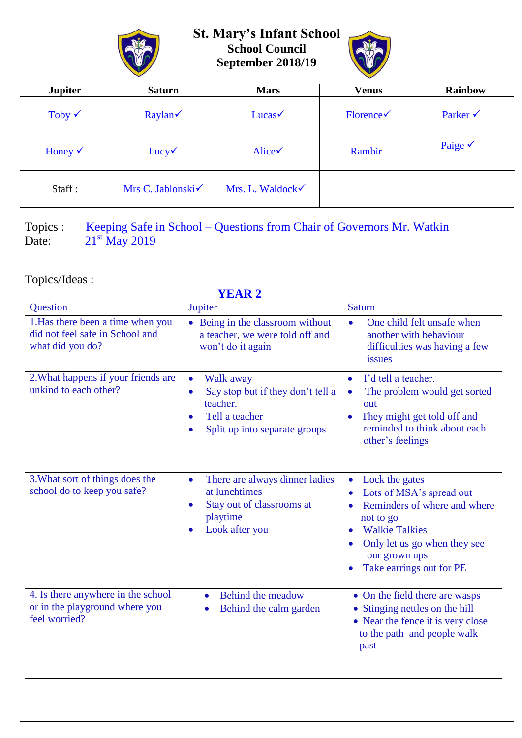

## **St. Mary's Infant School School Council September 2018/19**



| <b>Jupiter</b>     | <b>Saturn</b>     | <b>Mars</b>        | <b>Venus</b>                 | <b>Rainbow</b>      |  |
|--------------------|-------------------|--------------------|------------------------------|---------------------|--|
| Toby $\checkmark$  | Raylan            | $Lucas \checkmark$ | $\text{Florence} \checkmark$ | Parker $\checkmark$ |  |
| Honey $\checkmark$ | $Lucy\checkmark$  | Alice              | Rambir                       | Paige $\checkmark$  |  |
| Staff:             | Mrs C. Jablonski√ | Mrs. L. Waldock    |                              |                     |  |
|                    |                   |                    |                              |                     |  |

Topics : Keeping Safe in School – Questions from Chair of Governors Mr. Watkin Date:  $21^{st}$  May 2019

Topics/Ideas :

| <b>YEAR 2</b>                                                                            |                                                                                                                                                                   |                                                                                                                                                                                                                                      |  |  |  |
|------------------------------------------------------------------------------------------|-------------------------------------------------------------------------------------------------------------------------------------------------------------------|--------------------------------------------------------------------------------------------------------------------------------------------------------------------------------------------------------------------------------------|--|--|--|
| Question                                                                                 | Jupiter                                                                                                                                                           | <b>Saturn</b>                                                                                                                                                                                                                        |  |  |  |
| 1. Has there been a time when you<br>did not feel safe in School and<br>what did you do? | • Being in the classroom without<br>a teacher, we were told off and<br>won't do it again                                                                          | One child felt unsafe when<br>$\bullet$<br>another with behaviour<br>difficulties was having a few<br>issues                                                                                                                         |  |  |  |
| 2. What happens if your friends are<br>unkind to each other?                             | Walk away<br>$\bullet$<br>Say stop but if they don't tell a<br>$\bullet$<br>teacher.<br>Tell a teacher<br>$\bullet$<br>Split up into separate groups<br>$\bullet$ | I'd tell a teacher.<br>$\bullet$<br>The problem would get sorted<br>$\bullet$<br>out<br>They might get told off and<br>$\bullet$<br>reminded to think about each<br>other's feelings                                                 |  |  |  |
| 3. What sort of things does the<br>school do to keep you safe?                           | There are always dinner ladies<br>$\bullet$<br>at lunchtimes<br>Stay out of classrooms at<br>$\bullet$<br>playtime<br>Look after you                              | Lock the gates<br>$\bullet$<br>Lots of MSA's spread out<br>Reminders of where and where<br>$\bullet$<br>not to go<br><b>Walkie Talkies</b><br>Only let us go when they see<br>$\bullet$<br>our grown ups<br>Take earrings out for PE |  |  |  |
| 4. Is there anywhere in the school<br>or in the playground where you<br>feel worried?    | Behind the meadow<br>$\bullet$<br>Behind the calm garden<br>$\bullet$                                                                                             | • On the field there are wasps<br>• Stinging nettles on the hill<br>• Near the fence it is very close<br>to the path and people walk<br>past                                                                                         |  |  |  |